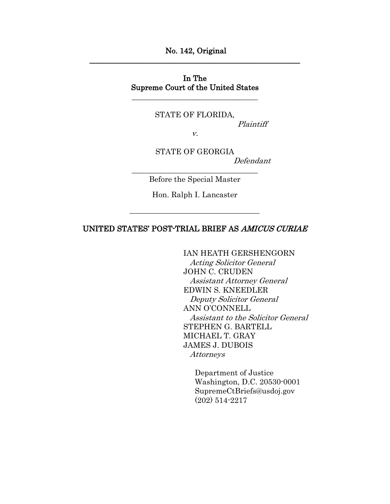No. 142, Original \_\_\_\_\_\_\_\_\_\_\_\_\_\_\_\_\_\_\_\_\_\_\_\_\_\_\_\_\_\_\_\_\_\_\_\_\_\_\_\_\_\_\_\_\_\_\_\_\_\_\_\_\_\_\_

## In The Supreme Court of the United States

\_\_\_\_\_\_\_\_\_\_\_\_\_\_\_\_\_\_\_\_\_\_\_\_\_\_\_\_\_\_\_\_\_

STATE OF FLORIDA,

Plaintiff

v.

STATE OF GEORGIA Defendant \_\_\_\_\_\_\_\_\_\_\_\_\_\_\_\_\_\_\_\_\_\_\_\_\_\_\_\_\_\_\_\_\_

Before the Special Master

Hon. Ralph I. Lancaster

## UNITED STATES' POST-TRIAL BRIEF AS AMICUS CURIAE

IAN HEATH GERSHENGORN

 Acting Solicitor General JOHN C. CRUDEN Assistant Attorney General EDWIN S. KNEEDLER Deputy Solicitor General ANN O'CONNELL Assistant to the Solicitor General STEPHEN G. BARTELL MICHAEL T. GRAY JAMES J. DUBOIS Attorneys

Department of Justice Washington, D.C. 20530-0001 SupremeCtBriefs@usdoj.gov (202) 514-2217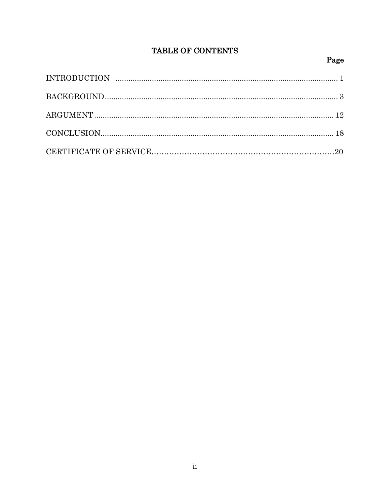# TABLE OF CONTENTS

# Page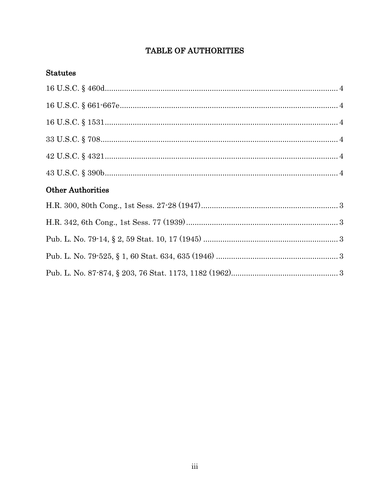# TABLE OF AUTHORITIES

## **Statutes**

| <b>Other Authorities</b> |  |
|--------------------------|--|
|                          |  |
|                          |  |
|                          |  |
|                          |  |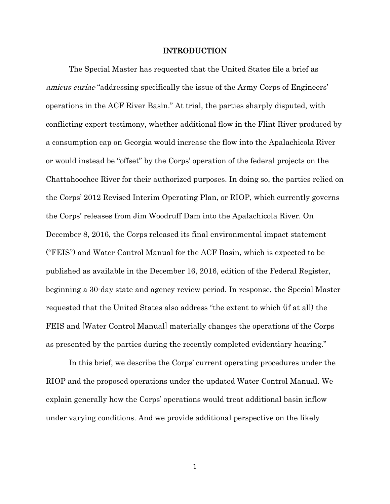### INTRODUCTION

The Special Master has requested that the United States file a brief as amicus curiae "addressing specifically the issue of the Army Corps of Engineers' operations in the ACF River Basin." At trial, the parties sharply disputed, with conflicting expert testimony, whether additional flow in the Flint River produced by a consumption cap on Georgia would increase the flow into the Apalachicola River or would instead be "offset" by the Corps' operation of the federal projects on the Chattahoochee River for their authorized purposes. In doing so, the parties relied on the Corps' 2012 Revised Interim Operating Plan, or RIOP, which currently governs the Corps' releases from Jim Woodruff Dam into the Apalachicola River. On December 8, 2016, the Corps released its final environmental impact statement ("FEIS") and Water Control Manual for the ACF Basin, which is expected to be published as available in the December 16, 2016, edition of the Federal Register, beginning a 30-day state and agency review period. In response, the Special Master requested that the United States also address "the extent to which (if at all) the FEIS and [Water Control Manual] materially changes the operations of the Corps as presented by the parties during the recently completed evidentiary hearing."

In this brief, we describe the Corps' current operating procedures under the RIOP and the proposed operations under the updated Water Control Manual. We explain generally how the Corps' operations would treat additional basin inflow under varying conditions. And we provide additional perspective on the likely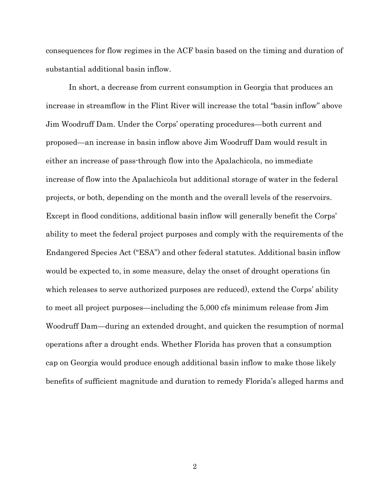consequences for flow regimes in the ACF basin based on the timing and duration of substantial additional basin inflow.

In short, a decrease from current consumption in Georgia that produces an increase in streamflow in the Flint River will increase the total "basin inflow" above Jim Woodruff Dam. Under the Corps' operating procedures—both current and proposed—an increase in basin inflow above Jim Woodruff Dam would result in either an increase of pass-through flow into the Apalachicola, no immediate increase of flow into the Apalachicola but additional storage of water in the federal projects, or both, depending on the month and the overall levels of the reservoirs. Except in flood conditions, additional basin inflow will generally benefit the Corps' ability to meet the federal project purposes and comply with the requirements of the Endangered Species Act ("ESA") and other federal statutes. Additional basin inflow would be expected to, in some measure, delay the onset of drought operations (in which releases to serve authorized purposes are reduced), extend the Corps' ability to meet all project purposes—including the 5,000 cfs minimum release from Jim Woodruff Dam—during an extended drought, and quicken the resumption of normal operations after a drought ends. Whether Florida has proven that a consumption cap on Georgia would produce enough additional basin inflow to make those likely benefits of sufficient magnitude and duration to remedy Florida's alleged harms and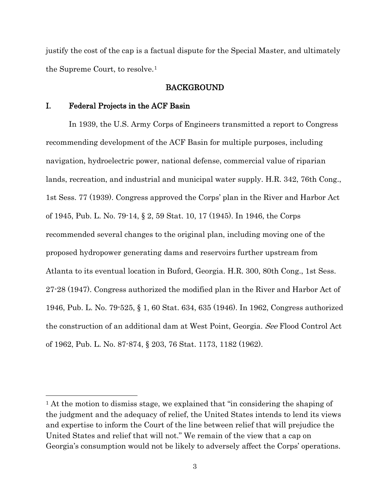justify the cost of the cap is a factual dispute for the Special Master, and ultimately the Supreme Court, to resolve.[1](#page-5-0)

### BACKGROUND

### I. Federal Projects in the ACF Basin

l

In 1939, the U.S. Army Corps of Engineers transmitted a report to Congress recommending development of the ACF Basin for multiple purposes, including navigation, hydroelectric power, national defense, commercial value of riparian lands, recreation, and industrial and municipal water supply. H.R. 342, 76th Cong., 1st Sess. 77 (1939). Congress approved the Corps' plan in the River and Harbor Act of 1945, Pub. L. No. 79-14, § 2, 59 Stat. 10, 17 (1945). In 1946, the Corps recommended several changes to the original plan, including moving one of the proposed hydropower generating dams and reservoirs further upstream from Atlanta to its eventual location in Buford, Georgia. H.R. 300, 80th Cong., 1st Sess. 27-28 (1947). Congress authorized the modified plan in the River and Harbor Act of 1946, Pub. L. No. 79-525, § 1, 60 Stat. 634, 635 (1946). In 1962, Congress authorized the construction of an additional dam at West Point, Georgia. See Flood Control Act of 1962, Pub. L. No. 87-874, § 203, 76 Stat. 1173, 1182 (1962).

<span id="page-5-0"></span><sup>1</sup> At the motion to dismiss stage, we explained that "in considering the shaping of the judgment and the adequacy of relief, the United States intends to lend its views and expertise to inform the Court of the line between relief that will prejudice the United States and relief that will not." We remain of the view that a cap on Georgia's consumption would not be likely to adversely affect the Corps' operations.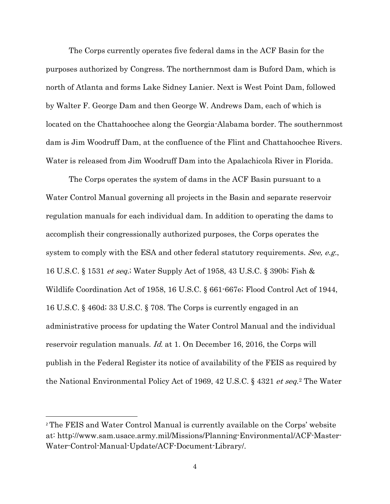The Corps currently operates five federal dams in the ACF Basin for the purposes authorized by Congress. The northernmost dam is Buford Dam, which is north of Atlanta and forms Lake Sidney Lanier. Next is West Point Dam, followed by Walter F. George Dam and then George W. Andrews Dam, each of which is located on the Chattahoochee along the Georgia-Alabama border. The southernmost dam is Jim Woodruff Dam, at the confluence of the Flint and Chattahoochee Rivers. Water is released from Jim Woodruff Dam into the Apalachicola River in Florida.

The Corps operates the system of dams in the ACF Basin pursuant to a Water Control Manual governing all projects in the Basin and separate reservoir regulation manuals for each individual dam. In addition to operating the dams to accomplish their congressionally authorized purposes, the Corps operates the system to comply with the ESA and other federal statutory requirements. See, e.g., 16 U.S.C. § 1531 et seq.; Water Supply Act of 1958, 43 U.S.C. § 390b; Fish & Wildlife Coordination Act of 1958, 16 U.S.C. § 661-667e; Flood Control Act of 1944, 16 U.S.C. § 460d; 33 U.S.C. § 708. The Corps is currently engaged in an administrative process for updating the Water Control Manual and the individual reservoir regulation manuals. *Id.* at 1. On December 16, 2016, the Corps will publish in the Federal Register its notice of availability of the FEIS as required by the National Environmental Policy Act of 1969, 42 U.S.C. § 4321 et seq.[2](#page-7-0) The Water

l

<sup>2</sup> The FEIS and Water Control Manual is currently available on the Corps' website at: http://www.sam.usace.army.mil/Missions/Planning-Environmental/ACF-Master-Water-Control-Manual-Update/ACF-Document-Library/.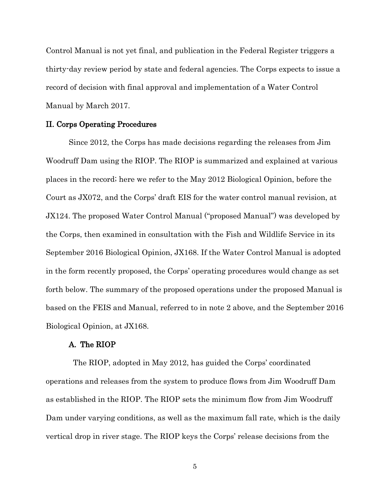Control Manual is not yet final, and publication in the Federal Register triggers a thirty-day review period by state and federal agencies. The Corps expects to issue a record of decision with final approval and implementation of a Water Control Manual by March 2017.

#### II. Corps Operating Procedures

Since 2012, the Corps has made decisions regarding the releases from Jim Woodruff Dam using the RIOP. The RIOP is summarized and explained at various places in the record; here we refer to the May 2012 Biological Opinion, before the Court as JX072, and the Corps' draft EIS for the water control manual revision, at JX124. The proposed Water Control Manual ("proposed Manual") was developed by the Corps, then examined in consultation with the Fish and Wildlife Service in its September 2016 Biological Opinion, JX168. If the Water Control Manual is adopted in the form recently proposed, the Corps' operating procedures would change as set forth below. The summary of the proposed operations under the proposed Manual is based on the FEIS and Manual, referred to in note 2 above, and the September 2016 Biological Opinion, at JX168.

#### A. The RIOP

<span id="page-7-0"></span>The RIOP, adopted in May 2012, has guided the Corps' coordinated operations and releases from the system to produce flows from Jim Woodruff Dam as established in the RIOP. The RIOP sets the minimum flow from Jim Woodruff Dam under varying conditions, as well as the maximum fall rate, which is the daily vertical drop in river stage. The RIOP keys the Corps' release decisions from the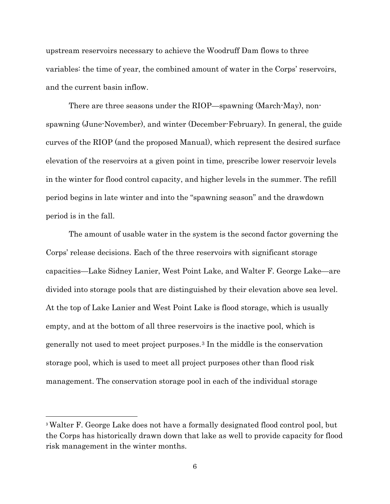upstream reservoirs necessary to achieve the Woodruff Dam flows to three variables: the time of year, the combined amount of water in the Corps' reservoirs, and the current basin inflow.

There are three seasons under the RIOP—spawning (March-May), nonspawning (June-November), and winter (December-February). In general, the guide curves of the RIOP (and the proposed Manual), which represent the desired surface elevation of the reservoirs at a given point in time, prescribe lower reservoir levels in the winter for flood control capacity, and higher levels in the summer. The refill period begins in late winter and into the "spawning season" and the drawdown period is in the fall.

The amount of usable water in the system is the second factor governing the Corps' release decisions. Each of the three reservoirs with significant storage capacities—Lake Sidney Lanier, West Point Lake, and Walter F. George Lake—are divided into storage pools that are distinguished by their elevation above sea level. At the top of Lake Lanier and West Point Lake is flood storage, which is usually empty, and at the bottom of all three reservoirs is the inactive pool, which is generally not used to meet project purposes.[3](#page-9-0) In the middle is the conservation storage pool, which is used to meet all project purposes other than flood risk management. The conservation storage pool in each of the individual storage

l

<sup>3</sup> Walter F. George Lake does not have a formally designated flood control pool, but the Corps has historically drawn down that lake as well to provide capacity for flood risk management in the winter months.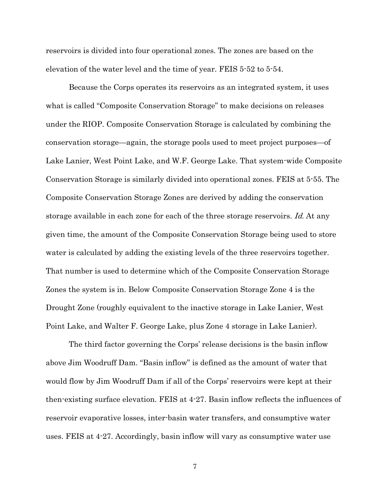reservoirs is divided into four operational zones. The zones are based on the elevation of the water level and the time of year. FEIS 5-52 to 5-54.

Because the Corps operates its reservoirs as an integrated system, it uses what is called "Composite Conservation Storage" to make decisions on releases under the RIOP. Composite Conservation Storage is calculated by combining the conservation storage—again, the storage pools used to meet project purposes—of Lake Lanier, West Point Lake, and W.F. George Lake. That system-wide Composite Conservation Storage is similarly divided into operational zones. FEIS at 5-55. The Composite Conservation Storage Zones are derived by adding the conservation storage available in each zone for each of the three storage reservoirs. Id. At any given time, the amount of the Composite Conservation Storage being used to store water is calculated by adding the existing levels of the three reservoirs together. That number is used to determine which of the Composite Conservation Storage Zones the system is in. Below Composite Conservation Storage Zone 4 is the Drought Zone (roughly equivalent to the inactive storage in Lake Lanier, West Point Lake, and Walter F. George Lake, plus Zone 4 storage in Lake Lanier).

<span id="page-9-0"></span>The third factor governing the Corps' release decisions is the basin inflow above Jim Woodruff Dam. "Basin inflow" is defined as the amount of water that would flow by Jim Woodruff Dam if all of the Corps' reservoirs were kept at their then-existing surface elevation. FEIS at 4-27. Basin inflow reflects the influences of reservoir evaporative losses, inter-basin water transfers, and consumptive water uses. FEIS at 4-27. Accordingly, basin inflow will vary as consumptive water use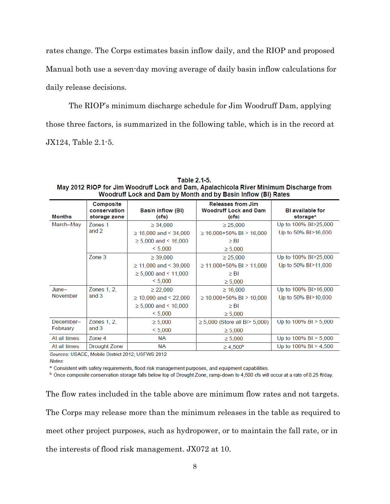rates change. The Corps estimates basin inflow daily, and the RIOP and proposed Manual both use a seven-day moving average of daily basin inflow calculations for daily release decisions.

The RIOP's minimum discharge schedule for Jim Woodruff Dam, applying those three factors, is summarized in the following table, which is in the record at JX124, Table 2.1-5.

Table 2.1-5. May 2012 RIOP for Jim Woodruff Lock and Dam, Apalachicola River Minimum Discharge from Woodruff Lock and Dam by Month and by Basin Inflow (BI) Rates

| <b>Months</b> | Composite<br>conservation<br>storage zone | <b>Basin inflow (BI)</b><br>(cfs) | <b>Releases from Jim</b><br><b>Woodruff Lock and Dam</b><br>(cfs) | <b>BI</b> available for<br>storage <sup>a</sup> |
|---------------|-------------------------------------------|-----------------------------------|-------------------------------------------------------------------|-------------------------------------------------|
| March-May     | Zones 1                                   | $\geq 34,000$                     | $\geq 25,000$                                                     | Up to 100% BI>25,000                            |
|               | and 2                                     | $\geq$ 16,000 and < 34,000        | $\geq$ 16.000+50% BI > 16.000                                     | Up to 50% BI>16,000                             |
|               |                                           | $\geq 5,000$ and < 16,000         | $\geq$ BI                                                         |                                                 |
|               |                                           | < 5.000                           | $\geq 5,000$                                                      |                                                 |
|               | $\mathsf{Zone}\ 3$                        | $\geq 39,000$                     | $\geq 25,000$                                                     | Up to 100% BI>25,000                            |
|               |                                           | $\geq$ 11,000 and < 39,000        | $\geq$ 11,000+50% BI > 11,000                                     | Up to 50% BI>11,000                             |
|               |                                           | $\geq 5,000$ and < 11,000         | $\geq$ BI                                                         |                                                 |
|               |                                           | < 5,000                           | $\geq 5,000$                                                      |                                                 |
| $June-$       | Zones 1, 2,                               | $\geq$ 22,000                     | $\geq 16,000$                                                     | Up to 100% BI>16,000                            |
| November      | and 3                                     | $\geq$ 10,000 and < 22,000        | $\geq$ 10,000+50% BI > 10,000                                     | Up to 50% BI>10,000                             |
|               |                                           | $\geq 5,000$ and < 10,000         | $\geq$ BI                                                         |                                                 |
|               |                                           | < 5,000                           | $\geq 5,000$                                                      |                                                 |
| December-     | Zones 1, 2,                               | $\geq 5,000$                      | $\geq 5,000$ (Store all BI $> 5,000$ )                            | Up to $100\%$ BI $> 5,000$                      |
| February      | and $3$                                   | < 5,000                           | $\geq 5,000$                                                      |                                                 |
| At all times  | Zone 4                                    | <b>NA</b>                         | $\geq 5,000$                                                      | Up to 100% BI > 5,000                           |
| At all times  | Drought Zone                              | NА                                | $\geq 4,500^{\rm b}$                                              | Up to $100\%$ BI $> 4,500$                      |

Sources: USACE, Mobile District 2012; USFWS 2012 Notes:

a Consistent with safety requirements, flood risk management purposes, and equipment capabilities.

<sup>b.</sup> Once composite conservation storage falls below top of Drought Zone, ramp-down to 4,500 cfs will occur at a rate of 0.25 ft/day.

The flow rates included in the table above are minimum flow rates and not targets. The Corps may release more than the minimum releases in the table as required to meet other project purposes, such as hydropower, or to maintain the fall rate, or in the interests of flood risk management. JX072 at 10.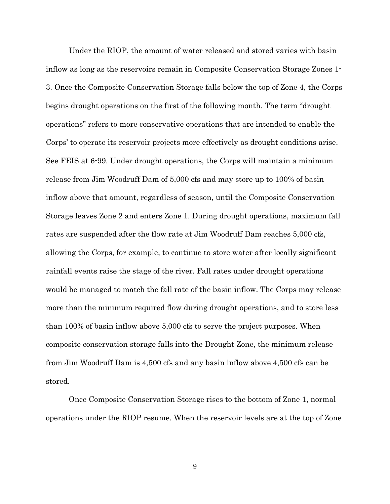Under the RIOP, the amount of water released and stored varies with basin inflow as long as the reservoirs remain in Composite Conservation Storage Zones 1- 3. Once the Composite Conservation Storage falls below the top of Zone 4, the Corps begins drought operations on the first of the following month. The term "drought operations" refers to more conservative operations that are intended to enable the Corps' to operate its reservoir projects more effectively as drought conditions arise. See FEIS at 6-99. Under drought operations, the Corps will maintain a minimum release from Jim Woodruff Dam of 5,000 cfs and may store up to 100% of basin inflow above that amount, regardless of season, until the Composite Conservation Storage leaves Zone 2 and enters Zone 1. During drought operations, maximum fall rates are suspended after the flow rate at Jim Woodruff Dam reaches 5,000 cfs, allowing the Corps, for example, to continue to store water after locally significant rainfall events raise the stage of the river. Fall rates under drought operations would be managed to match the fall rate of the basin inflow. The Corps may release more than the minimum required flow during drought operations, and to store less than 100% of basin inflow above 5,000 cfs to serve the project purposes. When composite conservation storage falls into the Drought Zone, the minimum release from Jim Woodruff Dam is 4,500 cfs and any basin inflow above 4,500 cfs can be stored.

Once Composite Conservation Storage rises to the bottom of Zone 1, normal operations under the RIOP resume. When the reservoir levels are at the top of Zone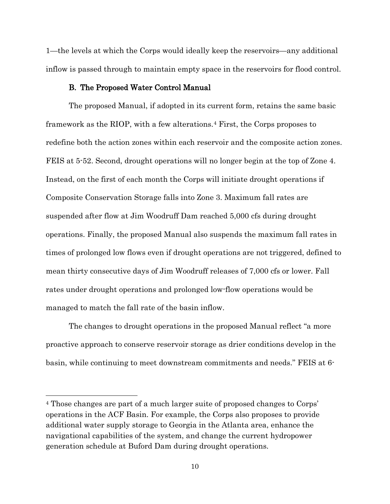1—the levels at which the Corps would ideally keep the reservoirs—any additional inflow is passed through to maintain empty space in the reservoirs for flood control.

### B. The Proposed Water Control Manual

The proposed Manual, if adopted in its current form, retains the same basic framework as the RIOP, with a few alterations.[4](#page-12-0) First, the Corps proposes to redefine both the action zones within each reservoir and the composite action zones. FEIS at 5-52. Second, drought operations will no longer begin at the top of Zone 4. Instead, on the first of each month the Corps will initiate drought operations if Composite Conservation Storage falls into Zone 3. Maximum fall rates are suspended after flow at Jim Woodruff Dam reached 5,000 cfs during drought operations. Finally, the proposed Manual also suspends the maximum fall rates in times of prolonged low flows even if drought operations are not triggered, defined to mean thirty consecutive days of Jim Woodruff releases of 7,000 cfs or lower. Fall rates under drought operations and prolonged low-flow operations would be managed to match the fall rate of the basin inflow.

The changes to drought operations in the proposed Manual reflect "a more proactive approach to conserve reservoir storage as drier conditions develop in the basin, while continuing to meet downstream commitments and needs." FEIS at 6-

l

<span id="page-12-0"></span><sup>4</sup> Those changes are part of a much larger suite of proposed changes to Corps' operations in the ACF Basin. For example, the Corps also proposes to provide additional water supply storage to Georgia in the Atlanta area, enhance the navigational capabilities of the system, and change the current hydropower generation schedule at Buford Dam during drought operations.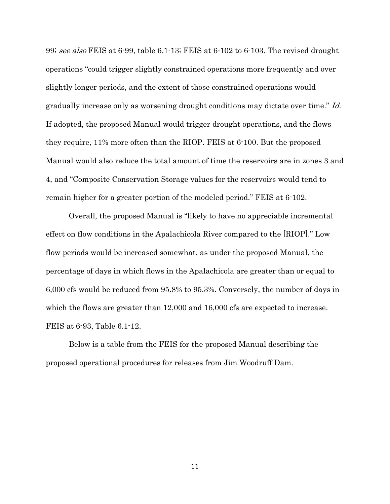99; see also FEIS at 6-99, table 6.1-13; FEIS at 6-102 to 6-103. The revised drought operations "could trigger slightly constrained operations more frequently and over slightly longer periods, and the extent of those constrained operations would gradually increase only as worsening drought conditions may dictate over time." Id. If adopted, the proposed Manual would trigger drought operations, and the flows they require, 11% more often than the RIOP. FEIS at 6-100. But the proposed Manual would also reduce the total amount of time the reservoirs are in zones 3 and 4, and "Composite Conservation Storage values for the reservoirs would tend to remain higher for a greater portion of the modeled period." FEIS at 6-102.

Overall, the proposed Manual is "likely to have no appreciable incremental effect on flow conditions in the Apalachicola River compared to the [RIOP]." Low flow periods would be increased somewhat, as under the proposed Manual, the percentage of days in which flows in the Apalachicola are greater than or equal to 6,000 cfs would be reduced from 95.8% to 95.3%. Conversely, the number of days in which the flows are greater than 12,000 and 16,000 cfs are expected to increase. FEIS at 6-93, Table 6.1-12.

Below is a table from the FEIS for the proposed Manual describing the proposed operational procedures for releases from Jim Woodruff Dam.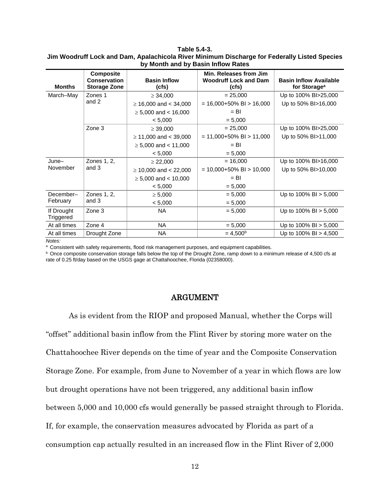#### **Table 5.4-3. Jim Woodruff Lock and Dam, Apalachicola River Minimum Discharge for Federally Listed Species by Month and by Basin Inflow Rates**

| <b>Months</b>           | <b>Composite</b><br><b>Conservation</b><br><b>Storage Zone</b> | <b>Basin Inflow</b><br>(cfs) | Min. Releases from Jim<br><b>Woodruff Lock and Dam</b><br>(cfs) | <b>Basin Inflow Available</b><br>for Storage <sup>a</sup> |
|-------------------------|----------------------------------------------------------------|------------------------------|-----------------------------------------------------------------|-----------------------------------------------------------|
| March-May               | Zones 1                                                        | $\geq 34,000$                | $= 25,000$                                                      | Up to 100% BI>25,000                                      |
|                         | and 2                                                          | $\geq$ 16,000 and < 34,000   | $= 16,000+50\% \text{ B}I > 16,000$                             | Up to 50% BI>16,000                                       |
|                         |                                                                | $\geq 5,000$ and < 16,000    | $=$ BI                                                          |                                                           |
|                         |                                                                | < 5,000                      | $= 5,000$                                                       |                                                           |
|                         | Zone 3                                                         | $\geq 39,000$                | $= 25,000$                                                      | Up to 100% BI>25,000                                      |
|                         |                                                                | $\geq$ 11,000 and < 39,000   | $= 11,000+50\%$ BI $> 11,000$                                   | Up to 50% BI>11,000                                       |
|                         |                                                                | $\geq 5,000$ and < 11,000    | $=$ BI                                                          |                                                           |
|                         |                                                                | < 5,000                      | $= 5,000$                                                       |                                                           |
| $June-$                 | Zones 1, 2,                                                    | $\geq$ 22,000                | $= 16,000$                                                      | Up to 100% BI>16,000                                      |
| November                | and 3                                                          | $\geq$ 10,000 and < 22,000   | $= 10,000+50\% \text{ B}I > 10,000$                             | Up to 50% BI>10,000                                       |
|                         |                                                                | $\geq 5,000$ and < 10,000    | $=$ BI                                                          |                                                           |
|                         |                                                                | < 5,000                      | $= 5,000$                                                       |                                                           |
| December-               | Zones 1, 2,                                                    | $\geq 5,000$                 | $= 5,000$                                                       | Up to $100\%$ BI $> 5,000$                                |
| February                | and 3                                                          | < 5,000                      | $= 5,000$                                                       |                                                           |
| If Drought<br>Triggered | Zone 3                                                         | <b>NA</b>                    | $= 5,000$                                                       | Up to $100\%$ BI $> 5,000$                                |
| At all times            | Zone 4                                                         | <b>NA</b>                    | $= 5,000$                                                       | Up to $100\%$ BI $> 5,000$                                |
| At all times            | Drought Zone                                                   | <b>NA</b>                    | $= 4.500b$                                                      | Up to $100\%$ BI $> 4,500$                                |

*Notes:*

a. Consistent with safety requirements, flood risk management purposes, and equipment capabilities.

b. Once composite conservation storage falls below the top of the Drought Zone, ramp down to a minimum release of 4,500 cfs at rate of 0.25 ft/day based on the USGS gage at Chattahoochee, Florida (02358000).

### ARGUMENT

As is evident from the RIOP and proposed Manual, whether the Corps will "offset" additional basin inflow from the Flint River by storing more water on the Chattahoochee River depends on the time of year and the Composite Conservation Storage Zone. For example, from June to November of a year in which flows are low but drought operations have not been triggered, any additional basin inflow between 5,000 and 10,000 cfs would generally be passed straight through to Florida. If, for example, the conservation measures advocated by Florida as part of a consumption cap actually resulted in an increased flow in the Flint River of 2,000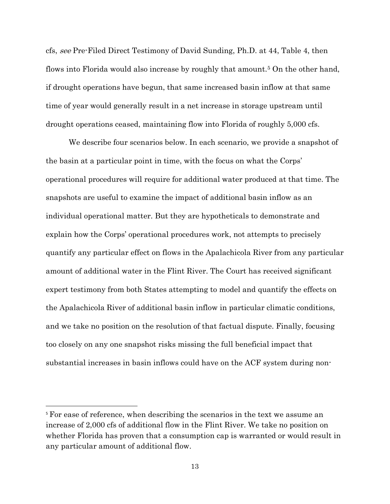cfs, see Pre-Filed Direct Testimony of David Sunding, Ph.D. at 44, Table 4, then flows into Florida would also increase by roughly that amount.[5](#page-15-0) On the other hand, if drought operations have begun, that same increased basin inflow at that same time of year would generally result in a net increase in storage upstream until drought operations ceased, maintaining flow into Florida of roughly 5,000 cfs.

We describe four scenarios below. In each scenario, we provide a snapshot of the basin at a particular point in time, with the focus on what the Corps' operational procedures will require for additional water produced at that time. The snapshots are useful to examine the impact of additional basin inflow as an individual operational matter. But they are hypotheticals to demonstrate and explain how the Corps' operational procedures work, not attempts to precisely quantify any particular effect on flows in the Apalachicola River from any particular amount of additional water in the Flint River. The Court has received significant expert testimony from both States attempting to model and quantify the effects on the Apalachicola River of additional basin inflow in particular climatic conditions, and we take no position on the resolution of that factual dispute. Finally, focusing too closely on any one snapshot risks missing the full beneficial impact that substantial increases in basin inflows could have on the ACF system during non-

 $\overline{\phantom{a}}$ 

<span id="page-15-0"></span><sup>5</sup> For ease of reference, when describing the scenarios in the text we assume an increase of 2,000 cfs of additional flow in the Flint River. We take no position on whether Florida has proven that a consumption cap is warranted or would result in any particular amount of additional flow.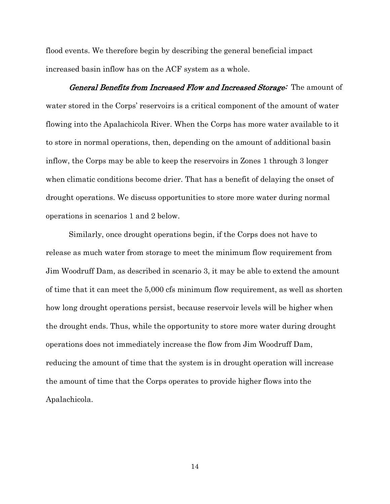flood events. We therefore begin by describing the general beneficial impact increased basin inflow has on the ACF system as a whole.

General Benefits from Increased Flow and Increased Storage: The amount of water stored in the Corps' reservoirs is a critical component of the amount of water flowing into the Apalachicola River. When the Corps has more water available to it to store in normal operations, then, depending on the amount of additional basin inflow, the Corps may be able to keep the reservoirs in Zones 1 through 3 longer when climatic conditions become drier. That has a benefit of delaying the onset of drought operations. We discuss opportunities to store more water during normal operations in scenarios 1 and 2 below.

Similarly, once drought operations begin, if the Corps does not have to release as much water from storage to meet the minimum flow requirement from Jim Woodruff Dam, as described in scenario 3, it may be able to extend the amount of time that it can meet the 5,000 cfs minimum flow requirement, as well as shorten how long drought operations persist, because reservoir levels will be higher when the drought ends. Thus, while the opportunity to store more water during drought operations does not immediately increase the flow from Jim Woodruff Dam, reducing the amount of time that the system is in drought operation will increase the amount of time that the Corps operates to provide higher flows into the Apalachicola.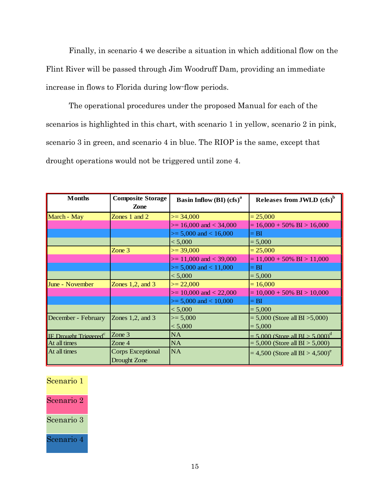Finally, in scenario 4 we describe a situation in which additional flow on the Flint River will be passed through Jim Woodruff Dam, providing an immediate increase in flows to Florida during low-flow periods.

The operational procedures under the proposed Manual for each of the scenarios is highlighted in this chart, with scenario 1 in yellow, scenario 2 in pink, scenario 3 in green, and scenario 4 in blue. The RIOP is the same, except that drought operations would not be triggered until zone 4.

| <b>Months</b>                            | <b>Composite Storage</b><br>Zone  | <b>Basin Inflow (BI) <math>(cfs)^a</math></b> | Releases from JWLD (cfs) <sup>b</sup>            |
|------------------------------------------|-----------------------------------|-----------------------------------------------|--------------------------------------------------|
| March - May                              | Zones 1 and $2$                   | $\geq$ 34,000                                 | $= 25,000$                                       |
|                                          |                                   | $\ge$ = 16,000 and < 34,000                   | $= 16,000 + 50\% \text{ BI} > 16,000$            |
|                                          |                                   | $\ge$ = 5,000 and < 16,000                    | $= BI$                                           |
|                                          |                                   | < 5,000                                       | $= 5,000$                                        |
|                                          | Zone 3                            | $>= 39,000$                                   | $= 25,000$                                       |
|                                          |                                   | $\ge$ = 11,000 and < 39,000                   | $= 11,000 + 50\% \text{ BI} > 11,000$            |
|                                          |                                   | $\ge$ = 5,000 and < 11,000                    | $= BI$                                           |
|                                          |                                   | < 5,000                                       | $= 5,000$                                        |
| June - November                          | Zones $1,2$ , and $3$             | $>= 22,000$                                   | $= 16,000$                                       |
|                                          |                                   | $\geq$ 10,000 and < 22,000                    | $= 10,000 + 50\% \text{ BI} > 10,000$            |
|                                          |                                   | $\ge$ = 5,000 and < 10,000                    | $= BI$                                           |
|                                          |                                   | < 5,000                                       | $= 5,000$                                        |
| December - February                      | Zones $1,2$ , and $3$             | $>= 5,000$                                    | $= 5,000$ (Store all BI $>5,000$ )               |
|                                          |                                   | < 5,000                                       | $= 5,000$                                        |
| <b>IF Drought Triggered</b> <sup>c</sup> | Zone $3$                          | NA                                            | $= 5.000$ (Store all BI $> 5.000$ ) <sup>d</sup> |
| At all times                             | Zone $4$                          | NA                                            | $= 5,000$ (Store all BI $> 5,000$ )              |
| At all times                             | Corps Exceptional<br>Drought Zone | <b>NA</b>                                     | $= 4,500$ (Store all BI > 4,500) <sup>e</sup>    |

| Scenario 1 |  |
|------------|--|
| Scenario 2 |  |
| Scenario 3 |  |
| Scenario 4 |  |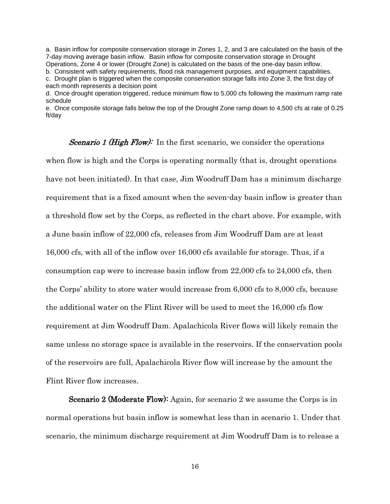a. Basin inflow for composite conservation storage in Zones 1, 2, and 3 are calculated on the basis of the 7-day moving average basin inflow. Basin inflow for composite conservation storage in Drought Operations, Zone 4 or lower (Drought Zone) is calculated on the basis of the one-day basin inflow.

b. Consistent with safety requirements, flood risk management purposes, and equipment capabilities. c. Drought plan is triggered when the composite conservation storage falls into Zone 3, the first day of each month represents a decision point

d. Once drought operation triggered, reduce minimum flow to 5,000 cfs following the maximum ramp rate schedule

e. Once composite storage falls below the top of the Drought Zone ramp down to 4,500 cfs at rate of 0.25 ft/day

*Scenario 1 (High Flow):* In the first scenario, we consider the operations when flow is high and the Corps is operating normally (that is, drought operations have not been initiated). In that case, Jim Woodruff Dam has a minimum discharge requirement that is a fixed amount when the seven-day basin inflow is greater than a threshold flow set by the Corps, as reflected in the chart above. For example, with a June basin inflow of 22,000 cfs, releases from Jim Woodruff Dam are at least 16,000 cfs, with all of the inflow over 16,000 cfs available for storage. Thus, if a consumption cap were to increase basin inflow from 22,000 cfs to 24,000 cfs, then the Corps' ability to store water would increase from 6,000 cfs to 8,000 cfs, because the additional water on the Flint River will be used to meet the 16,000 cfs flow requirement at Jim Woodruff Dam. Apalachicola River flows will likely remain the same unless no storage space is available in the reservoirs. If the conservation pools of the reservoirs are full, Apalachicola River flow will increase by the amount the Flint River flow increases.

Scenario 2 (Moderate Flow): Again, for scenario 2 we assume the Corps is in normal operations but basin inflow is somewhat less than in scenario 1. Under that scenario, the minimum discharge requirement at Jim Woodruff Dam is to release a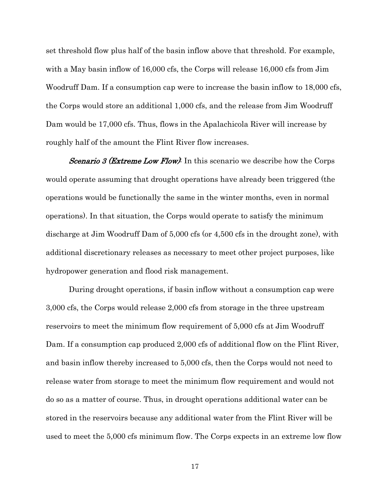set threshold flow plus half of the basin inflow above that threshold. For example, with a May basin inflow of 16,000 cfs, the Corps will release 16,000 cfs from Jim Woodruff Dam. If a consumption cap were to increase the basin inflow to 18,000 cfs, the Corps would store an additional 1,000 cfs, and the release from Jim Woodruff Dam would be 17,000 cfs. Thus, flows in the Apalachicola River will increase by roughly half of the amount the Flint River flow increases.

*Scenario 3 (Extreme Low Flow)*: In this scenario we describe how the Corps would operate assuming that drought operations have already been triggered (the operations would be functionally the same in the winter months, even in normal operations). In that situation, the Corps would operate to satisfy the minimum discharge at Jim Woodruff Dam of 5,000 cfs (or 4,500 cfs in the drought zone), with additional discretionary releases as necessary to meet other project purposes, like hydropower generation and flood risk management.

During drought operations, if basin inflow without a consumption cap were 3,000 cfs, the Corps would release 2,000 cfs from storage in the three upstream reservoirs to meet the minimum flow requirement of 5,000 cfs at Jim Woodruff Dam. If a consumption cap produced 2,000 cfs of additional flow on the Flint River, and basin inflow thereby increased to 5,000 cfs, then the Corps would not need to release water from storage to meet the minimum flow requirement and would not do so as a matter of course. Thus, in drought operations additional water can be stored in the reservoirs because any additional water from the Flint River will be used to meet the 5,000 cfs minimum flow. The Corps expects in an extreme low flow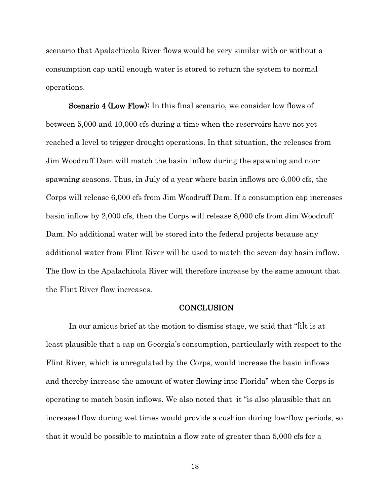scenario that Apalachicola River flows would be very similar with or without a consumption cap until enough water is stored to return the system to normal operations.

Scenario 4 (Low Flow): In this final scenario, we consider low flows of between 5,000 and 10,000 cfs during a time when the reservoirs have not yet reached a level to trigger drought operations. In that situation, the releases from Jim Woodruff Dam will match the basin inflow during the spawning and nonspawning seasons. Thus, in July of a year where basin inflows are 6,000 cfs, the Corps will release 6,000 cfs from Jim Woodruff Dam. If a consumption cap increases basin inflow by 2,000 cfs, then the Corps will release 8,000 cfs from Jim Woodruff Dam. No additional water will be stored into the federal projects because any additional water from Flint River will be used to match the seven-day basin inflow. The flow in the Apalachicola River will therefore increase by the same amount that the Flint River flow increases.

#### **CONCLUSION**

In our amicus brief at the motion to dismiss stage, we said that "[i]t is at least plausible that a cap on Georgia's consumption, particularly with respect to the Flint River, which is unregulated by the Corps, would increase the basin inflows and thereby increase the amount of water flowing into Florida" when the Corps is operating to match basin inflows. We also noted that it "is also plausible that an increased flow during wet times would provide a cushion during low-flow periods, so that it would be possible to maintain a flow rate of greater than 5,000 cfs for a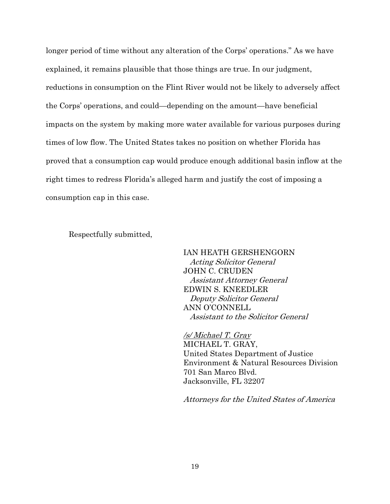longer period of time without any alteration of the Corps' operations." As we have explained, it remains plausible that those things are true. In our judgment, reductions in consumption on the Flint River would not be likely to adversely affect the Corps' operations, and could—depending on the amount—have beneficial impacts on the system by making more water available for various purposes during times of low flow. The United States takes no position on whether Florida has proved that a consumption cap would produce enough additional basin inflow at the right times to redress Florida's alleged harm and justify the cost of imposing a consumption cap in this case.

Respectfully submitted,

IAN HEATH GERSHENGORN Acting Solicitor General JOHN C. CRUDEN Assistant Attorney General EDWIN S. KNEEDLER Deputy Solicitor General ANN O'CONNELL Assistant to the Solicitor General

/s/ Michael T. Gray MICHAEL T. GRAY, United States Department of Justice Environment & Natural Resources Division 701 San Marco Blvd. Jacksonville, FL 32207

Attorneys for the United States of America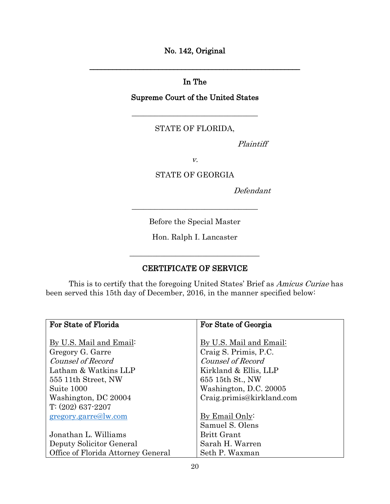No. 142, Original

# In The

\_\_\_\_\_\_\_\_\_\_\_\_\_\_\_\_\_\_\_\_\_\_\_\_\_\_\_\_\_\_\_\_\_\_\_\_\_\_\_\_\_\_\_\_\_\_\_\_\_\_\_\_\_\_\_

## Supreme Court of the United States

\_\_\_\_\_\_\_\_\_\_\_\_\_\_\_\_\_\_\_\_\_\_\_\_\_\_\_\_\_\_\_\_\_

## STATE OF FLORIDA,

Plaintiff

v.

STATE OF GEORGIA

Defendant

Before the Special Master

\_\_\_\_\_\_\_\_\_\_\_\_\_\_\_\_\_\_\_\_\_\_\_\_\_\_\_\_\_\_\_\_\_

Hon. Ralph I. Lancaster

## CERTIFICATE OF SERVICE

This is to certify that the foregoing United States' Brief as Amicus Curiae has been served this 15th day of December, 2016, in the manner specified below:

| For State of Florida               | For State of Georgia      |
|------------------------------------|---------------------------|
|                                    |                           |
| By U.S. Mail and Email:            | By U.S. Mail and Email:   |
| Gregory G. Garre                   | Craig S. Primis, P.C.     |
| Counsel of Record                  | Counsel of Record         |
| Latham & Watkins LLP               | Kirkland & Ellis, LLP     |
| 555 11th Street, NW                | 655 15th St., NW          |
| Suite 1000                         | Washington, D.C. 20005    |
| Washington, DC 20004               | Craig.primis@kirkland.com |
| $T: (202)$ 637-2207                |                           |
| gregory.garre@lw.com               | By Email Only:            |
|                                    | Samuel S. Olens           |
| Jonathan L. Williams               | <b>Britt Grant</b>        |
| Deputy Solicitor General           | Sarah H. Warren           |
| Office of Florida Attorney General | Seth P. Waxman            |